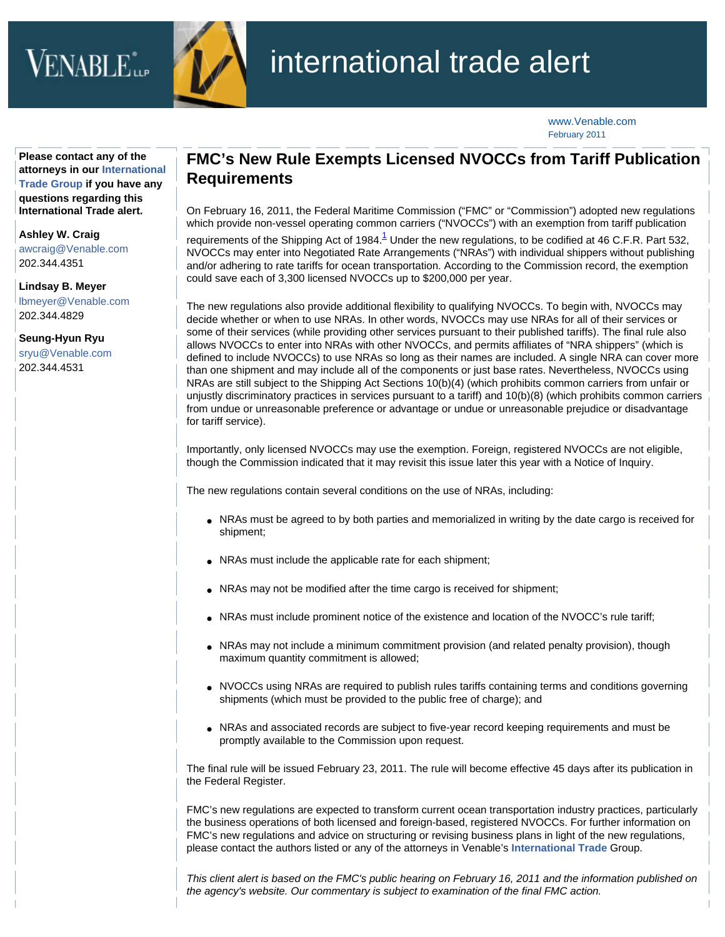## $\rm VENABLE$ the  $\rm VENABLE$



## international trade alert

[www.Venable.com](http://www.venable.com/) February 2011

**Please contact any of the attorneys in our [International](http://www.venable.com/services/practices/ServiceDetail.aspx?service=135&view=pros) [Trade Group](http://www.venable.com/services/practices/ServiceDetail.aspx?service=135&view=pros) if you have any questions regarding this International Trade alert.** 

**[Ashley W. Craig](http://www.venable.com/ashley-w-craig/)**

[awcraig@Venable.com](mailto:awcraig@Venable.com) 202.344.4351

**[Lindsay B. Meyer](http://www.venable.com/lindsay-b-meyer/)** [lbmeyer@Venable.com](mailto:lbmeyer@Venable.com) 202.344.4829

**[Seung-Hyun Ryu](http://www.venable.com/seung-hyun-ryu/)** [sryu@Venable.com](mailto:sryu@Venable.com) 202.344.4531

## **FMC's New Rule Exempts Licensed NVOCCs from Tariff Publication Requirements**

On February 16, 2011, the Federal Maritime Commission ("FMC" or "Commission") adopted new regulations which provide non-vessel operating common carriers ("NVOCCs") with an exemption from tariff publication

requirements of the Shipping Act of [1](#page-1-0)984. $^1$  Under the new regulations, to be codified at 46 C.F.R. Part 532, NVOCCs may enter into Negotiated Rate Arrangements ("NRAs") with individual shippers without publishing and/or adhering to rate tariffs for ocean transportation. According to the Commission record, the exemption could save each of 3,300 licensed NVOCCs up to \$200,000 per year.

The new regulations also provide additional flexibility to qualifying NVOCCs. To begin with, NVOCCs may decide whether or when to use NRAs. In other words, NVOCCs may use NRAs for all of their services or some of their services (while providing other services pursuant to their published tariffs). The final rule also allows NVOCCs to enter into NRAs with other NVOCCs, and permits affiliates of "NRA shippers" (which is defined to include NVOCCs) to use NRAs so long as their names are included. A single NRA can cover more than one shipment and may include all of the components or just base rates. Nevertheless, NVOCCs using NRAs are still subject to the Shipping Act Sections 10(b)(4) (which prohibits common carriers from unfair or unjustly discriminatory practices in services pursuant to a tariff) and 10(b)(8) (which prohibits common carriers from undue or unreasonable preference or advantage or undue or unreasonable prejudice or disadvantage for tariff service).

Importantly, only licensed NVOCCs may use the exemption. Foreign, registered NVOCCs are not eligible, though the Commission indicated that it may revisit this issue later this year with a Notice of Inquiry.

The new regulations contain several conditions on the use of NRAs, including:

- NRAs must be agreed to by both parties and memorialized in writing by the date cargo is received for shipment;
- NRAs must include the applicable rate for each shipment;
- NRAs may not be modified after the time cargo is received for shipment;
- NRAs must include prominent notice of the existence and location of the NVOCC's rule tariff;
- NRAs may not include a minimum commitment provision (and related penalty provision), though maximum quantity commitment is allowed;
- NVOCCs using NRAs are required to publish rules tariffs containing terms and conditions governing shipments (which must be provided to the public free of charge); and
- NRAs and associated records are subject to five-year record keeping requirements and must be promptly available to the Commission upon request.

The final rule will be issued February 23, 2011. The rule will become effective 45 days after its publication in the Federal Register.

FMC's new regulations are expected to transform current ocean transportation industry practices, particularly the business operations of both licensed and foreign-based, registered NVOCCs. For further information on FMC's new regulations and advice on structuring or revising business plans in light of the new regulations, please contact the authors listed or any of the attorneys in Venable's **[International Trade](http://www.venable.com/international-trade-and-customs-practices/)** Group.

*This client alert is based on the FMC's public hearing on February 16, 2011 and the information published on the agency's website. Our commentary is subject to examination of the final FMC action.*